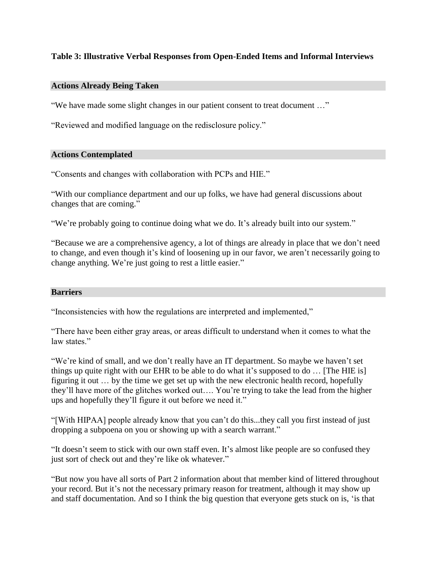# **Table 3: Illustrative Verbal Responses from Open-Ended Items and Informal Interviews**

## **Actions Already Being Taken**

"We have made some slight changes in our patient consent to treat document …"

"Reviewed and modified language on the redisclosure policy."

### **Actions Contemplated**

"Consents and changes with collaboration with PCPs and HIE."

"With our compliance department and our up folks, we have had general discussions about changes that are coming."

"We're probably going to continue doing what we do. It's already built into our system."

"Because we are a comprehensive agency, a lot of things are already in place that we don't need to change, and even though it's kind of loosening up in our favor, we aren't necessarily going to change anything. We're just going to rest a little easier."

#### **Barriers**

"Inconsistencies with how the regulations are interpreted and implemented,"

"There have been either gray areas, or areas difficult to understand when it comes to what the law states."

"We're kind of small, and we don't really have an IT department. So maybe we haven't set things up quite right with our EHR to be able to do what it's supposed to do … [The HIE is] figuring it out … by the time we get set up with the new electronic health record, hopefully they'll have more of the glitches worked out…. You're trying to take the lead from the higher ups and hopefully they'll figure it out before we need it."

"[With HIPAA] people already know that you can't do this...they call you first instead of just dropping a subpoena on you or showing up with a search warrant."

"It doesn't seem to stick with our own staff even. It's almost like people are so confused they just sort of check out and they're like ok whatever."

"But now you have all sorts of Part 2 information about that member kind of littered throughout your record. But it's not the necessary primary reason for treatment, although it may show up and staff documentation. And so I think the big question that everyone gets stuck on is, 'is that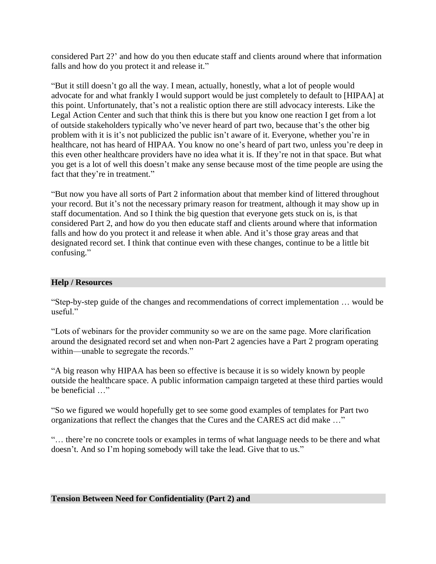considered Part 2?' and how do you then educate staff and clients around where that information falls and how do you protect it and release it."

"But it still doesn't go all the way. I mean, actually, honestly, what a lot of people would advocate for and what frankly I would support would be just completely to default to [HIPAA] at this point. Unfortunately, that's not a realistic option there are still advocacy interests. Like the Legal Action Center and such that think this is there but you know one reaction I get from a lot of outside stakeholders typically who've never heard of part two, because that's the other big problem with it is it's not publicized the public isn't aware of it. Everyone, whether you're in healthcare, not has heard of HIPAA. You know no one's heard of part two, unless you're deep in this even other healthcare providers have no idea what it is. If they're not in that space. But what you get is a lot of well this doesn't make any sense because most of the time people are using the fact that they're in treatment."

"But now you have all sorts of Part 2 information about that member kind of littered throughout your record. But it's not the necessary primary reason for treatment, although it may show up in staff documentation. And so I think the big question that everyone gets stuck on is, is that considered Part 2, and how do you then educate staff and clients around where that information falls and how do you protect it and release it when able. And it's those gray areas and that designated record set. I think that continue even with these changes, continue to be a little bit confusing."

### **Help / Resources**

"Step-by-step guide of the changes and recommendations of correct implementation … would be useful."

"Lots of webinars for the provider community so we are on the same page. More clarification around the designated record set and when non-Part 2 agencies have a Part 2 program operating within—unable to segregate the records."

"A big reason why HIPAA has been so effective is because it is so widely known by people outside the healthcare space. A public information campaign targeted at these third parties would be beneficial …"

"So we figured we would hopefully get to see some good examples of templates for Part two organizations that reflect the changes that the Cures and the CARES act did make …"

"… there're no concrete tools or examples in terms of what language needs to be there and what doesn't. And so I'm hoping somebody will take the lead. Give that to us."

#### **Tension Between Need for Confidentiality (Part 2) and**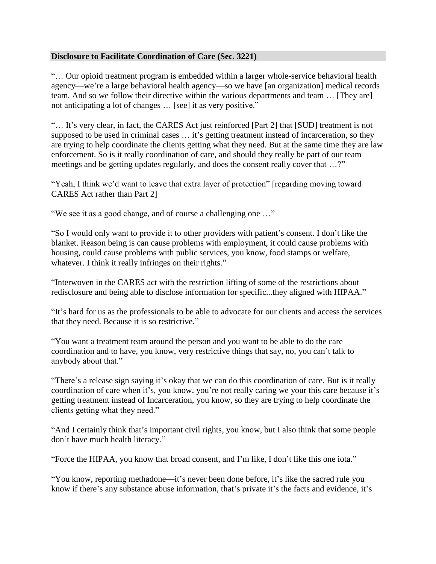# **Disclosure to Facilitate Coordination of Care (Sec. 3221)**

"… Our opioid treatment program is embedded within a larger whole-service behavioral health agency—we're a large behavioral health agency—so we have [an organization] medical records team. And so we follow their directive within the various departments and team … [They are] not anticipating a lot of changes … [see] it as very positive."

"… It's very clear, in fact, the CARES Act just reinforced [Part 2] that [SUD] treatment is not supposed to be used in criminal cases … it's getting treatment instead of incarceration, so they are trying to help coordinate the clients getting what they need. But at the same time they are law enforcement. So is it really coordination of care, and should they really be part of our team meetings and be getting updates regularly, and does the consent really cover that ...?"

"Yeah, I think we'd want to leave that extra layer of protection" [regarding moving toward CARES Act rather than Part 2]

"We see it as a good change, and of course a challenging one …"

"So I would only want to provide it to other providers with patient's consent. I don't like the blanket. Reason being is can cause problems with employment, it could cause problems with housing, could cause problems with public services, you know, food stamps or welfare, whatever. I think it really infringes on their rights."

"Interwoven in the CARES act with the restriction lifting of some of the restrictions about redisclosure and being able to disclose information for specific...they aligned with HIPAA."

"It's hard for us as the professionals to be able to advocate for our clients and access the services that they need. Because it is so restrictive."

"You want a treatment team around the person and you want to be able to do the care coordination and to have, you know, very restrictive things that say, no, you can't talk to anybody about that."

"There's a release sign saying it's okay that we can do this coordination of care. But is it really coordination of care when it's, you know, you're not really caring we your this care because it's getting treatment instead of Incarceration, you know, so they are trying to help coordinate the clients getting what they need."

"And I certainly think that's important civil rights, you know, but I also think that some people don't have much health literacy."

"Force the HIPAA, you know that broad consent, and I'm like, I don't like this one iota."

"You know, reporting methadone—it's never been done before, it's like the sacred rule you know if there's any substance abuse information, that's private it's the facts and evidence, it's